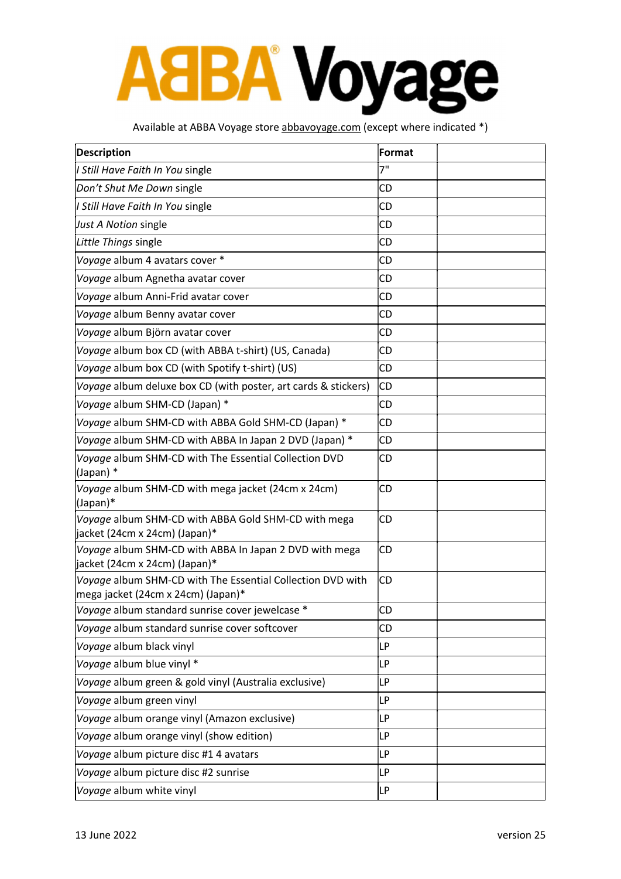## **AaBA Voyage**

#### Available at ABBA Voyage store abbavoyage.com (except where indicated \*)

| <b>Description</b>                                                                               | Format    |  |
|--------------------------------------------------------------------------------------------------|-----------|--|
| I Still Have Faith In You single                                                                 | 7"        |  |
| Don't Shut Me Down single                                                                        | CD        |  |
| I Still Have Faith In You single                                                                 | CD        |  |
| Just A Notion single                                                                             | CD        |  |
| Little Things single                                                                             | CD        |  |
| Voyage album 4 avatars cover *                                                                   | CD        |  |
| Voyage album Agnetha avatar cover                                                                | CD        |  |
| Voyage album Anni-Frid avatar cover                                                              | CD        |  |
| Voyage album Benny avatar cover                                                                  | CD        |  |
| Voyage album Björn avatar cover                                                                  | CD        |  |
| Voyage album box CD (with ABBA t-shirt) (US, Canada)                                             | CD        |  |
| Voyage album box CD (with Spotify t-shirt) (US)                                                  | CD        |  |
| Voyage album deluxe box CD (with poster, art cards & stickers)                                   | CD        |  |
| Voyage album SHM-CD (Japan) *                                                                    | СD        |  |
| Voyage album SHM-CD with ABBA Gold SHM-CD (Japan) *                                              | <b>CD</b> |  |
| Voyage album SHM-CD with ABBA In Japan 2 DVD (Japan) *                                           | CD        |  |
| Voyage album SHM-CD with The Essential Collection DVD<br>(Japan) *                               | CD        |  |
| Voyage album SHM-CD with mega jacket (24cm x 24cm)<br>(Japan)*                                   | CD        |  |
| Voyage album SHM-CD with ABBA Gold SHM-CD with mega<br>jacket (24cm x 24cm) (Japan)*             | CD        |  |
| Voyage album SHM-CD with ABBA In Japan 2 DVD with mega<br>jacket (24cm x 24cm) (Japan)*          | CD        |  |
| Voyage album SHM-CD with The Essential Collection DVD with<br>mega jacket (24cm x 24cm) (Japan)* | СD        |  |
| Voyage album standard sunrise cover jewelcase *                                                  | CD        |  |
| Voyage album standard sunrise cover softcover                                                    | CD        |  |
| Voyage album black vinyl                                                                         | LP        |  |
| Voyage album blue vinyl *                                                                        | LP        |  |
| Voyage album green & gold vinyl (Australia exclusive)                                            | LP        |  |
| Voyage album green vinyl                                                                         | LP        |  |
| Voyage album orange vinyl (Amazon exclusive)                                                     | <b>LP</b> |  |
| Voyage album orange vinyl (show edition)                                                         | LP        |  |
| Voyage album picture disc #1 4 avatars                                                           | LP        |  |
| Voyage album picture disc #2 sunrise                                                             | LP        |  |
| Voyage album white vinyl                                                                         | LP        |  |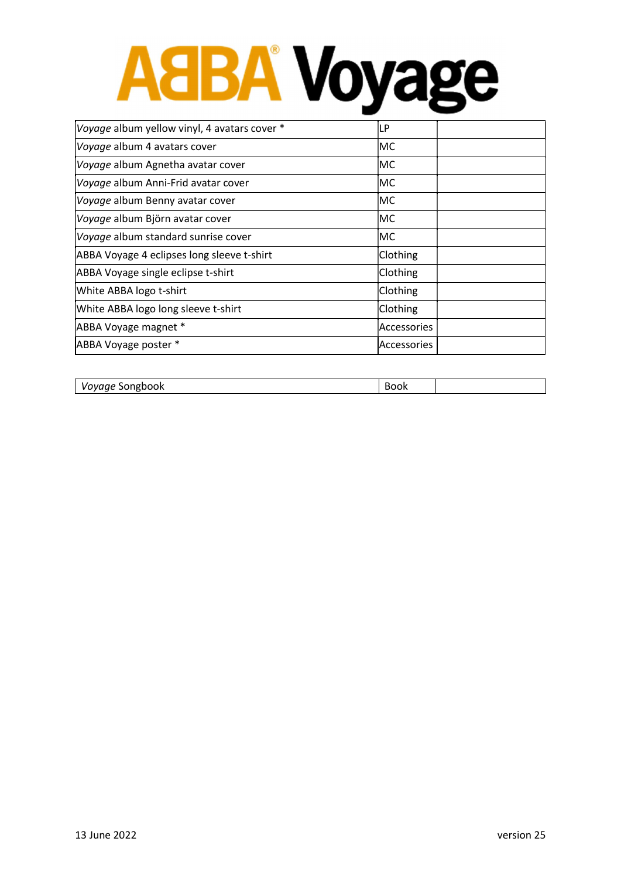# AaBA Voyage

| Voyage album yellow vinyl, 4 avatars cover * | LP                 |  |
|----------------------------------------------|--------------------|--|
| Voyage album 4 avatars cover                 | lMC                |  |
| Voyage album Agnetha avatar cover            | IMC                |  |
| Voyage album Anni-Frid avatar cover          | lMC                |  |
| Voyage album Benny avatar cover              | lMC                |  |
| Voyage album Björn avatar cover              | IMC                |  |
| Voyage album standard sunrise cover          | lMC                |  |
| ABBA Voyage 4 eclipses long sleeve t-shirt   | Clothing           |  |
| ABBA Voyage single eclipse t-shirt           | Clothing           |  |
| White ABBA logo t-shirt                      | Clothing           |  |
| White ABBA logo long sleeve t-shirt          | Clothing           |  |
| ABBA Voyage magnet *                         | lAccessories       |  |
| ABBA Voyage poster *                         | <b>Accessories</b> |  |
|                                              |                    |  |

| Vovage <sup>c</sup><br>Songbook | uun |  |
|---------------------------------|-----|--|